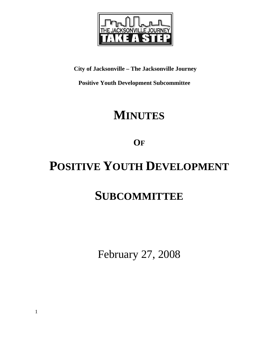

**City of Jacksonville – The Jacksonville Journey** 

 **Positive Youth Development Subcommittee** 

## **MINUTES**

**OF**

# **POSITIVE YOUTH DEVELOPMENT**

## **SUBCOMMITTEE**

February 27, 2008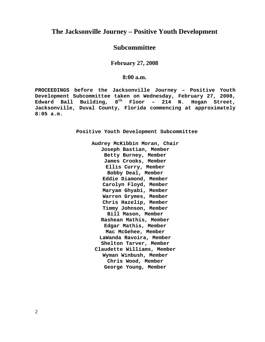### **The Jacksonville Journey – Positive Youth Development**

### **Subcommittee**

**February 27, 2008** 

#### **8:00 a.m.**

**PROCEEDINGS before the Jacksonville Journey – Positive Youth Development Subcommittee taken on Wednesday, February 27, 2008, Edward Ball Building, 8th Floor – 214 N. Hogan Street, Jacksonville, Duval County, Florida commencing at approximately 8:05 a.m.** 

**Positive Youth Development Subcommittee** 

**Audrey McKibbin Moran, Chair Joseph Bastian, Member Betty Burney, Member James Crooks, Member Ellis Curry, Member Bobby Deal, Member Eddie Diamond, Member Carolyn Floyd, Member Maryam Ghyabi, Member Warren Grymes, Member Chris Hazelip, Member Timmy Johnson, Member Bill Mason, Member Rashean Mathis, Member Edgar Mathis, Member Mac McGehee, Member LaWanda Ravoira, Member Shelton Tarver, Member Claudette Williams, Member Wyman Winbush, Member Chris Wood, Member George Young, Member**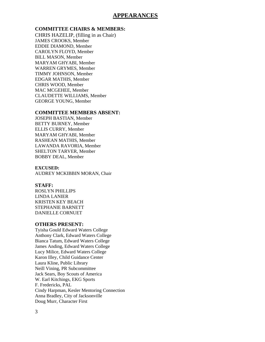#### **APPEARANCES**

#### **COMMITTEE CHAIRS & MEMBERS:**

CHRIS HAZELIP, (filling in as Chair) JAMES CROOKS, Member EDDIE DIAMOND, Member CAROLYN FLOYD, Member BILL MASON, Member MARYAM GHYABI, Member WARREN GRYMES, Member TIMMY JOHNSON, Member EDGAR MATHIS, Member CHRIS WOOD, Member MAC MCGEHEE, Member CLAUDETTE WILLIAMS, Member GEORGE YOUNG, Member

#### **COMMITTEE MEMBERS ABSENT:**

JOSEPH BASTIAN, Member BETTY BURNEY, Member ELLIS CURRY, Member MARYAM GHYABI, Member RASHEAN MATHIS, Member LAWANDA RAVORIA, Member SHELTON TARVER, Member BOBBY DEAL, Member

#### **EXCUSED:**

AUDREY MCKIBBIN MORAN, Chair

#### **STAFF:**

ROSLYN PHILLIPS LINDA LANIER KRISTEN KEY BEACH STEPHANIE BARNETT DANIELLE CORNUET

#### **OTHERS PRESENT:**

Tyisha Gould Edward Waters College Anthony Clark, Edward Waters College Bianca Tatum, Edward Waters College James Anding, Edward Waters College Lucy Milice, Edward Waters College Karon Illey, Child Guidance Center Laura Kline, Public Library Neill Vining, PR Subcommittee Jack Sears, Boy Scouts of America W. Earl Kitchings, EKG Sports F. Fredericks, PAL Cindy Harpman, Kesler Mentoring Connection Anna Bradley, City of Jacksonville Doug Murr, Character First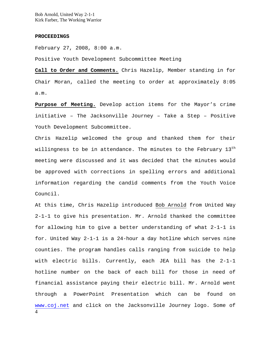Bob Arnold, United Way 2-1-1 Kirk Farber, The Working Warrior

#### **PROCEEDINGS**

February 27, 2008, 8:00 a.m.

Positive Youth Development Subcommittee Meeting

**Call to Order and Comments.** Chris Hazelip, Member standing in for Chair Moran, called the meeting to order at approximately 8:05 a.m.

**Purpose of Meeting.** Develop action items for the Mayor's crime initiative – The Jacksonville Journey – Take a Step – Positive Youth Development Subcommittee.

Chris Hazelip welcomed the group and thanked them for their willingness to be in attendance. The minutes to the February  $13<sup>th</sup>$ meeting were discussed and it was decided that the minutes would be approved with corrections in spelling errors and additional information regarding the candid comments from the Youth Voice Council.

4 At this time, Chris Hazelip introduced Bob Arnold from United Way 2-1-1 to give his presentation. Mr. Arnold thanked the committee for allowing him to give a better understanding of what 2-1-1 is for. United Way 2-1-1 is a 24-hour a day hotline which serves nine counties. The program handles calls ranging from suicide to help with electric bills. Currently, each JEA bill has the 2-1-1 hotline number on the back of each bill for those in need of financial assistance paying their electric bill. Mr. Arnold went through a PowerPoint Presentation which can be found on www.coj.net and click on the Jacksonville Journey logo. Some of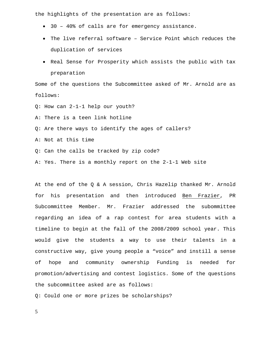the highlights of the presentation are as follows:

- 30 40% of calls are for emergency assistance.
- The live referral software Service Point which reduces the duplication of services
- Real Sense for Prosperity which assists the public with tax preparation

Some of the questions the Subcommittee asked of Mr. Arnold are as follows:

- Q: How can 2-1-1 help our youth?
- A: There is a teen link hotline
- Q: Are there ways to identify the ages of callers?
- A: Not at this time
- Q: Can the calls be tracked by zip code?
- A: Yes. There is a monthly report on the 2-1-1 Web site

At the end of the Q & A session, Chris Hazelip thanked Mr. Arnold for his presentation and then introduced Ben Frazier, PR Subcommittee Member. Mr. Frazier addressed the subommittee regarding an idea of a rap contest for area students with a timeline to begin at the fall of the 2008/2009 school year. This would give the students a way to use their talents in a constructive way, give young people a "voice" and instill a sense of hope and community ownership Funding is needed for promotion/advertising and contest logistics. Some of the questions the subcommittee asked are as follows:

Q: Could one or more prizes be scholarships?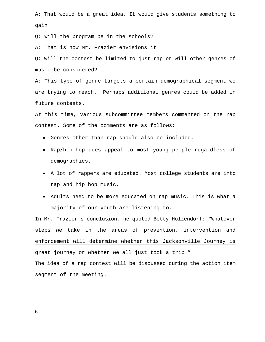A: That would be a great idea. It would give students something to gain.

Q: Will the program be in the schools?

A: That is how Mr. Frazier envisions it.

Q: Will the contest be limited to just rap or will other genres of music be considered?

A: This type of genre targets a certain demographical segment we are trying to reach. Perhaps additional genres could be added in future contests.

At this time, various subcommittee members commented on the rap contest. Some of the comments are as follows:

- Genres other than rap should also be included.
- Rap/hip-hop does appeal to most young people regardless of demographics.
- A lot of rappers are educated. Most college students are into rap and hip hop music.
- Adults need to be more educated on rap music. This is what a majority of our youth are listening to.

In Mr. Frazier's conclusion, he quoted Betty Holzendorf: "Whatever steps we take in the areas of prevention, intervention and enforcement will determine whether this Jacksonville Journey is great journey or whether we all just took a trip."

The idea of a rap contest will be discussed during the action item segment of the meeting.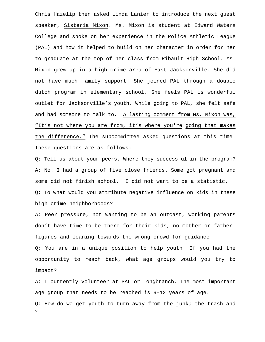Chris Hazelip then asked Linda Lanier to introduce the next guest speaker, Sisteria Mixon. Ms. Mixon is student at Edward Waters College and spoke on her experience in the Police Athletic League (PAL) and how it helped to build on her character in order for her to graduate at the top of her class from Ribault High School. Ms. Mixon grew up in a high crime area of East Jacksonville. She did not have much family support. She joined PAL through a double dutch program in elementary school. She feels PAL is wonderful outlet for Jacksonville's youth. While going to PAL, she felt safe and had someone to talk to. A lasting comment from Ms. Mixon was, "It's not where you are from, it's where you're going that makes the difference." The subcommittee asked questions at this time. These questions are as follows:

Q: Tell us about your peers. Where they successful in the program? A: No. I had a group of five close friends. Some got pregnant and some did not finish school. I did not want to be a statistic. Q: To what would you attribute negative influence on kids in these high crime neighborhoods?

A: Peer pressure, not wanting to be an outcast, working parents don't have time to be there for their kids, no mother or fatherfigures and leaning towards the wrong crowd for guidance.

Q: You are in a unique position to help youth. If you had the opportunity to reach back, what age groups would you try to impact?

A: I currently volunteer at PAL or Longbranch. The most important age group that needs to be reached is 9-12 years of age.

7 Q: How do we get youth to turn away from the junk; the trash and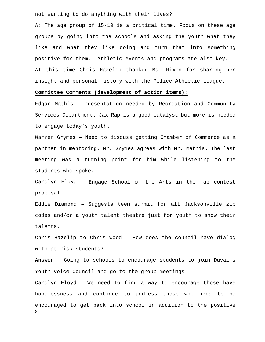not wanting to do anything with their lives?

A: The age group of 15-19 is a critical time. Focus on these age groups by going into the schools and asking the youth what they like and what they like doing and turn that into something positive for them. Athletic events and programs are also key. At this time Chris Hazelip thanked Ms. Mixon for sharing her insight and personal history with the Police Athletic League.

#### **Committee Comments (development of action items):**

Edgar Mathis – Presentation needed by Recreation and Community Services Department. Jax Rap is a good catalyst but more is needed to engage today's youth.

Warren Grymes – Need to discuss getting Chamber of Commerce as a partner in mentoring. Mr. Grymes agrees with Mr. Mathis. The last meeting was a turning point for him while listening to the students who spoke.

Carolyn Floyd – Engage School of the Arts in the rap contest proposal

Eddie Diamond – Suggests teen summit for all Jacksonville zip codes and/or a youth talent theatre just for youth to show their talents.

Chris Hazelip to Chris Wood – How does the council have dialog with at risk students?

**Answer** – Going to schools to encourage students to join Duval's Youth Voice Council and go to the group meetings.

8 Carolyn Floyd – We need to find a way to encourage those have hopelessness and continue to address those who need to be encouraged to get back into school in addition to the positive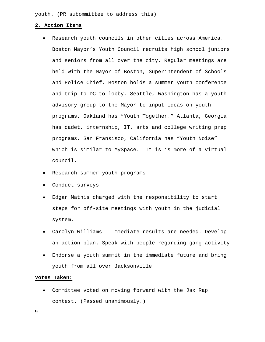youth. (PR subommittee to address this)

#### **2. Action Items**

- Research youth councils in other cities across America. Boston Mayor's Youth Council recruits high school juniors and seniors from all over the city. Regular meetings are held with the Mayor of Boston, Superintendent of Schools and Police Chief. Boston holds a summer youth conference and trip to DC to lobby. Seattle, Washington has a youth advisory group to the Mayor to input ideas on youth programs. Oakland has "Youth Together." Atlanta, Georgia has cadet, internship, IT, arts and college writing prep programs. San Fransisco, California has "Youth Noise" which is similar to MySpace. It is is more of a virtual council.
- Research summer youth programs
- Conduct surveys
- Edgar Mathis charged with the responsibility to start steps for off-site meetings with youth in the judicial system.
- Carolyn Williams Immediate results are needed. Develop an action plan. Speak with people regarding gang activity
- Endorse a youth summit in the immediate future and bring youth from all over Jacksonville

#### **Votes Taken:**

• Committee voted on moving forward with the Jax Rap contest. (Passed unanimously.)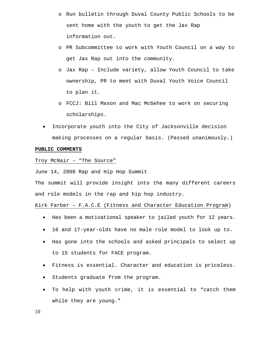- o Run bulletin through Duval County Public Schools to be sent home with the youth to get the Jax Rap information out.
- o PR Subcommittee to work with Youth Council on a way to get Jax Rap out into the community.
- o Jax Rap Include variety, allow Youth Council to take ownership, PR to meet with Duval Youth Voice Council to plan it.
- o FCCJ: Bill Mason and Mac McGehee to work on securing scholarships.
- Incorporate youth into the City of Jacksonville decision making processes on a regular basis. (Passed unanimously.)

#### **PUBLIC COMMENTS**

Troy McNair – "The Source"

June 14, 2008 Rap and Hip Hop Summit

The summit will provide insight into the many different careers and role models in the rap and hip hop industry.

Kirk Farber – F.A.C.E (Fitness and Character Education Program)

- Has been a motivational speaker to jailed youth for 12 years.
- 16 and 17-year-olds have no male role model to look up to.
- Has gone into the schools and asked principals to select up to 15 students for FACE program.
- Fitness is essential. Character and education is priceless.
- Students graduate from the program.
- To help with youth crime, it is essential to "catch them while they are young."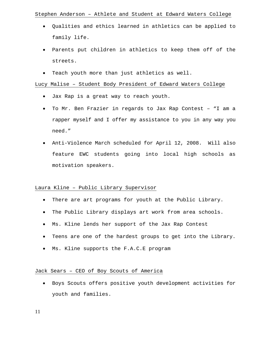#### Stephen Anderson – Athlete and Student at Edward Waters College

- Qualities and ethics learned in athletics can be applied to family life.
- Parents put children in athletics to keep them off of the streets.
- Teach youth more than just athletics as well.

#### Lucy Malise – Student Body President of Edward Waters College

- Jax Rap is a great way to reach youth.
- To Mr. Ben Frazier in regards to Jax Rap Contest "I am a rapper myself and I offer my assistance to you in any way you need."
- Anti-Violence March scheduled for April 12, 2008. Will also feature EWC students going into local high schools as motivation speakers.

#### Laura Kline – Public Library Supervisor

- There are art programs for youth at the Public Library.
- The Public Library displays art work from area schools.
- Ms. Kline lends her support of the Jax Rap Contest
- Teens are one of the hardest groups to get into the Library.
- Ms. Kline supports the F.A.C.E program

#### Jack Sears – CEO of Boy Scouts of America

• Boys Scouts offers positive youth development activities for youth and families.